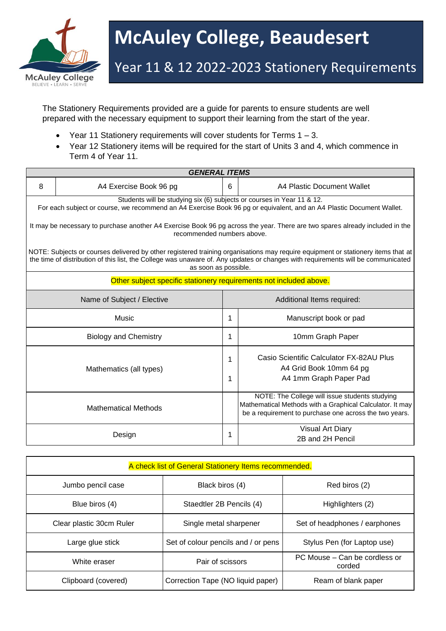

## **McAuley College, Beaudesert**

## Year 11 & 12 2022-2023 Stationery Requirements

The Stationery Requirements provided are a guide for parents to ensure students are well prepared with the necessary equipment to support their learning from the start of the year.

- Year 11 Stationery requirements will cover students for Terms  $1 3$ .
- Year 12 Stationery items will be required for the start of Units 3 and 4, which commence in Term 4 of Year 11.

| <b>GENERAL ITEMS</b>                                                                                                                                                                                                                                                                         |                              |        |                                                                                                                                                                      |  |  |  |
|----------------------------------------------------------------------------------------------------------------------------------------------------------------------------------------------------------------------------------------------------------------------------------------------|------------------------------|--------|----------------------------------------------------------------------------------------------------------------------------------------------------------------------|--|--|--|
| 8                                                                                                                                                                                                                                                                                            | A4 Exercise Book 96 pg       | 6      | A4 Plastic Document Wallet                                                                                                                                           |  |  |  |
| Students will be studying six (6) subjects or courses in Year 11 & 12.<br>For each subject or course, we recommend an A4 Exercise Book 96 pg or equivalent, and an A4 Plastic Document Wallet.                                                                                               |                              |        |                                                                                                                                                                      |  |  |  |
| It may be necessary to purchase another A4 Exercise Book 96 pg across the year. There are two spares already included in the<br>recommended numbers above.                                                                                                                                   |                              |        |                                                                                                                                                                      |  |  |  |
| NOTE: Subjects or courses delivered by other registered training organisations may require equipment or stationery items that at<br>the time of distribution of this list, the College was unaware of. Any updates or changes with requirements will be communicated<br>as soon as possible. |                              |        |                                                                                                                                                                      |  |  |  |
| Other subject specific stationery requirements not included above.                                                                                                                                                                                                                           |                              |        |                                                                                                                                                                      |  |  |  |
| Name of Subject / Elective                                                                                                                                                                                                                                                                   |                              |        | Additional Items required:                                                                                                                                           |  |  |  |
|                                                                                                                                                                                                                                                                                              | Music                        | 1      | Manuscript book or pad                                                                                                                                               |  |  |  |
|                                                                                                                                                                                                                                                                                              | <b>Biology and Chemistry</b> | 1      | 10mm Graph Paper                                                                                                                                                     |  |  |  |
|                                                                                                                                                                                                                                                                                              | Mathematics (all types)      | 1<br>1 | Casio Scientific Calculator FX-82AU Plus<br>A4 Grid Book 10mm 64 pg<br>A4 1mm Graph Paper Pad                                                                        |  |  |  |
|                                                                                                                                                                                                                                                                                              | <b>Mathematical Methods</b>  |        | NOTE: The College will issue students studying<br>Mathematical Methods with a Graphical Calculator. It may<br>be a requirement to purchase one across the two years. |  |  |  |
|                                                                                                                                                                                                                                                                                              | Design                       | 1      | <b>Visual Art Diary</b><br>2B and 2H Pencil                                                                                                                          |  |  |  |

| A check list of General Stationery Items recommended. |                                     |                                         |  |  |  |
|-------------------------------------------------------|-------------------------------------|-----------------------------------------|--|--|--|
| Jumbo pencil case                                     | Black biros (4)                     | Red biros (2)                           |  |  |  |
| Blue biros (4)                                        | Staedtler 2B Pencils (4)            | Highlighters (2)                        |  |  |  |
| Clear plastic 30cm Ruler                              | Single metal sharpener              | Set of headphones / earphones           |  |  |  |
| Large glue stick                                      | Set of colour pencils and / or pens | Stylus Pen (for Laptop use)             |  |  |  |
| White eraser                                          | Pair of scissors                    | PC Mouse – Can be cordless or<br>corded |  |  |  |
| Clipboard (covered)                                   | Correction Tape (NO liquid paper)   | Ream of blank paper                     |  |  |  |